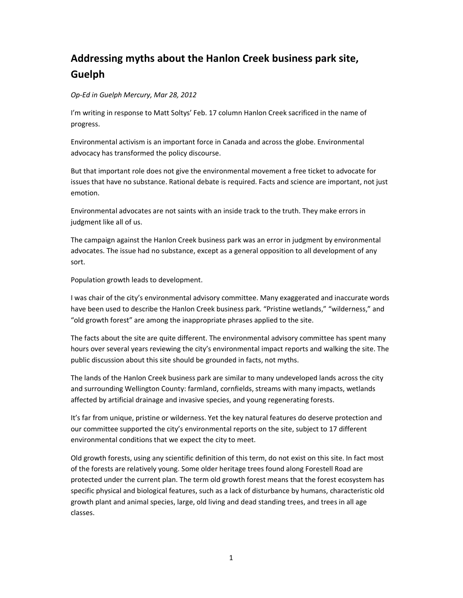## Addressing myths about the Hanlon Creek business park site, Guelph

## Op-Ed in Guelph Mercury, Mar 28, 2012

I'm writing in response to Matt Soltys' Feb. 17 column Hanlon Creek sacrificed in the name of progress.

Environmental activism is an important force in Canada and across the globe. Environmental advocacy has transformed the policy discourse.

But that important role does not give the environmental movement a free ticket to advocate for issues that have no substance. Rational debate is required. Facts and science are important, not just emotion.

Environmental advocates are not saints with an inside track to the truth. They make errors in judgment like all of us.

The campaign against the Hanlon Creek business park was an error in judgment by environmental advocates. The issue had no substance, except as a general opposition to all development of any sort.

Population growth leads to development.

I was chair of the city's environmental advisory committee. Many exaggerated and inaccurate words have been used to describe the Hanlon Creek business park. "Pristine wetlands," "wilderness," and "old growth forest" are among the inappropriate phrases applied to the site.

The facts about the site are quite different. The environmental advisory committee has spent many hours over several years reviewing the city's environmental impact reports and walking the site. The public discussion about this site should be grounded in facts, not myths.

The lands of the Hanlon Creek business park are similar to many undeveloped lands across the city and surrounding Wellington County: farmland, cornfields, streams with many impacts, wetlands affected by artificial drainage and invasive species, and young regenerating forests.

It's far from unique, pristine or wilderness. Yet the key natural features do deserve protection and our committee supported the city's environmental reports on the site, subject to 17 different environmental conditions that we expect the city to meet.

Old growth forests, using any scientific definition of this term, do not exist on this site. In fact most of the forests are relatively young. Some older heritage trees found along Forestell Road are protected under the current plan. The term old growth forest means that the forest ecosystem has specific physical and biological features, such as a lack of disturbance by humans, characteristic old growth plant and animal species, large, old living and dead standing trees, and trees in all age classes.